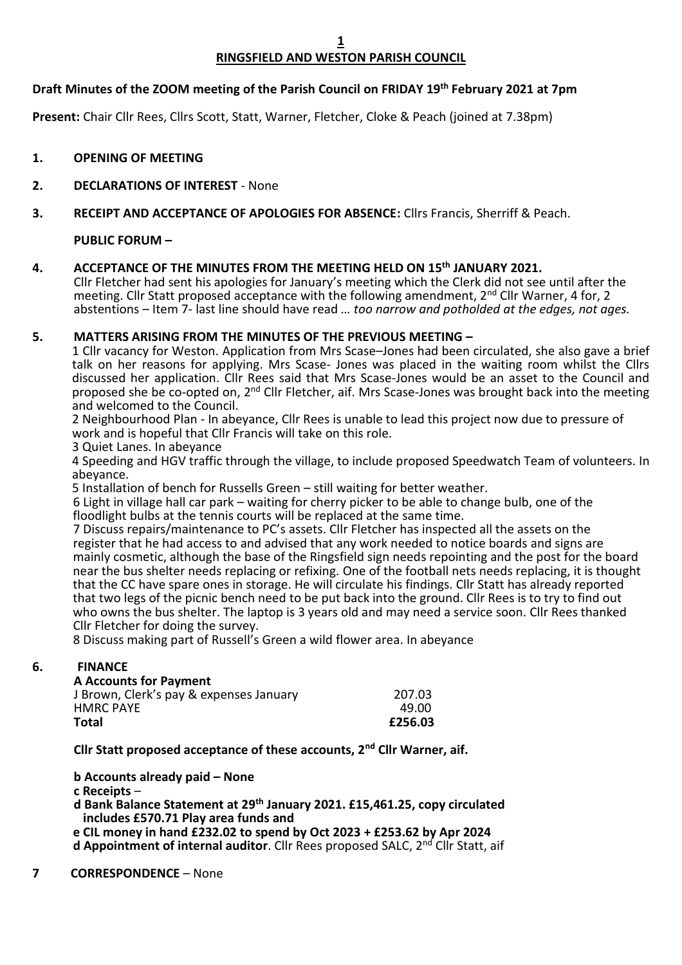**1**

## **RINGSFIELD AND WESTON PARISH COUNCIL**

## **Draft Minutes of the ZOOM meeting of the Parish Council on FRIDAY 19th February 2021 at 7pm**

**Present:** Chair Cllr Rees, Cllrs Scott, Statt, Warner, Fletcher, Cloke & Peach (joined at 7.38pm)

**1. OPENING OF MEETING**

## **2. DECLARATIONS OF INTEREST** - None

#### **3. RECEIPT AND ACCEPTANCE OF APOLOGIES FOR ABSENCE:** Cllrs Francis, Sherriff & Peach.

## **PUBLIC FORUM –**

## **4. ACCEPTANCE OF THE MINUTES FROM THE MEETING HELD ON 15th JANUARY 2021.**

Cllr Fletcher had sent his apologies for January's meeting which the Clerk did not see until after the meeting. Cllr Statt proposed acceptance with the following amendment, 2<sup>nd</sup> Cllr Warner, 4 for, 2 abstentions – Item 7- last line should have read *… too narrow and potholded at the edges, not ages.*

## **5. MATTERS ARISING FROM THE MINUTES OF THE PREVIOUS MEETING –**

1 Cllr vacancy for Weston. Application from Mrs Scase–Jones had been circulated, she also gave a brief talk on her reasons for applying. Mrs Scase- Jones was placed in the waiting room whilst the Cllrs discussed her application. Cllr Rees said that Mrs Scase-Jones would be an asset to the Council and proposed she be co-opted on, 2<sup>nd</sup> Cllr Fletcher, aif. Mrs Scase-Jones was brought back into the meeting and welcomed to the Council.

2 Neighbourhood Plan - In abeyance, Cllr Rees is unable to lead this project now due to pressure of work and is hopeful that Cllr Francis will take on this role.

3 Quiet Lanes. In abeyance

4 Speeding and HGV traffic through the village, to include proposed Speedwatch Team of volunteers. In abeyance.

5 Installation of bench for Russells Green – still waiting for better weather.

 6 Light in village hall car park – waiting for cherry picker to be able to change bulb, one of the floodlight bulbs at the tennis courts will be replaced at the same time.

 7 Discuss repairs/maintenance to PC's assets. Cllr Fletcher has inspected all the assets on the register that he had access to and advised that any work needed to notice boards and signs are mainly cosmetic, although the base of the Ringsfield sign needs repointing and the post for the board near the bus shelter needs replacing or refixing. One of the football nets needs replacing, it is thought that the CC have spare ones in storage. He will circulate his findings. Cllr Statt has already reported that two legs of the picnic bench need to be put back into the ground. Cllr Rees is to try to find out who owns the bus shelter. The laptop is 3 years old and may need a service soon. Cllr Rees thanked Cllr Fletcher for doing the survey.

8 Discuss making part of Russell's Green a wild flower area. In abeyance

## **6. FINANCE**

#### **A Accounts for Payment**

| <b>Total</b>                            | £256.03 |
|-----------------------------------------|---------|
| <b>HMRC PAYE</b>                        | 49.00   |
| J Brown, Clerk's pay & expenses January | 207.03  |

**Cllr Statt proposed acceptance of these accounts, 2nd Cllr Warner, aif.**

**b Accounts already paid – None**

**c Receipts** –

**d Bank Balance Statement at 29th January 2021. £15,461.25, copy circulated includes £570.71 Play area funds and**

 **e CIL money in hand £232.02 to spend by Oct 2023 + £253.62 by Apr 2024 d Appointment of internal auditor**. Cllr Rees proposed SALC, 2<sup>nd</sup> Cllr Statt, aif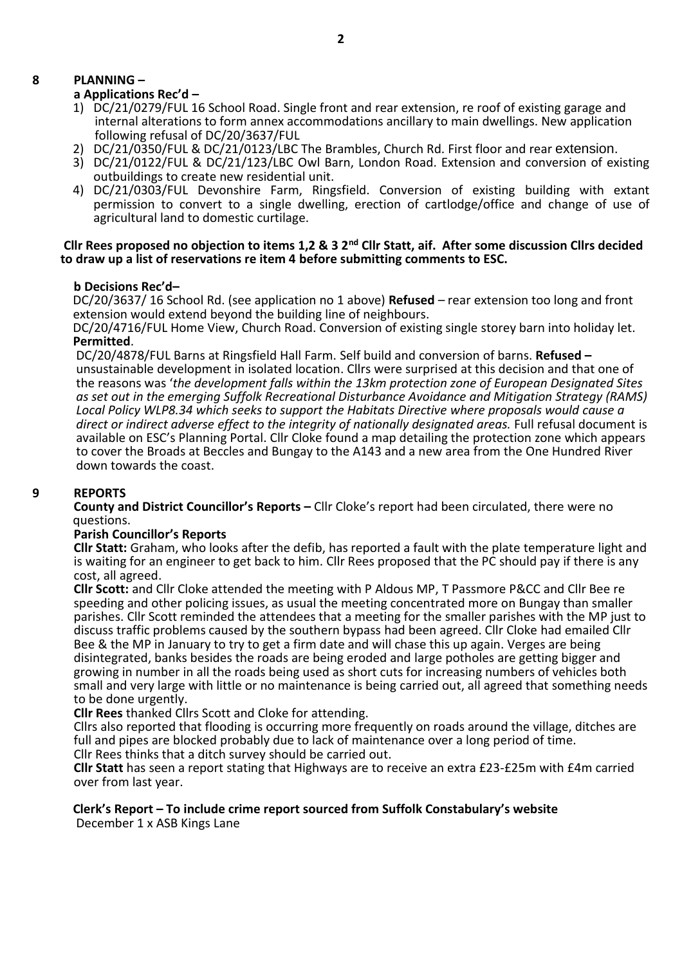## **8 PLANNING –**

#### **a Applications Rec'd –**

- 1) DC/21/0279/FUL 16 School Road. Single front and rear extension, re roof of existing garage and internal alterations to form annex accommodations ancillary to main dwellings. New application following refusal of DC/20/3637/FUL
- 2) DC/21/0350/FUL & DC/21/0123/LBC The Brambles, Church Rd. First floor and rear extension.
- 3) DC/21/0122/FUL & DC/21/123/LBC Owl Barn, London Road. Extension and conversion of existing outbuildings to create new residential unit.
- 4) DC/21/0303/FUL Devonshire Farm, Ringsfield. Conversion of existing building with extant permission to convert to a single dwelling, erection of cartlodge/office and change of use of agricultural land to domestic curtilage.

#### **Cllr Rees proposed no objection to items 1,2 & 3 2nd Cllr Statt, aif. After some discussion Cllrs decided to draw up a list of reservations re item 4 before submitting comments to ESC.**

#### **b Decisions Rec'd–**

 DC/20/3637/ 16 School Rd. (see application no 1 above) **Refused** – rear extension too long and front extension would extend beyond the building line of neighbours.

 DC/20/4716/FUL Home View, Church Road. Conversion of existing single storey barn into holiday let. **Permitted**.

 DC/20/4878/FUL Barns at Ringsfield Hall Farm. Self build and conversion of barns. **Refused –** unsustainable development in isolated location. Cllrs were surprised at this decision and that one of the reasons was '*the development falls within the 13km protection zone of European Designated Sites as set out in the emerging Suffolk Recreational Disturbance Avoidance and Mitigation Strategy (RAMS) Local Policy WLP8.34 which seeks to support the Habitats Directive where proposals would cause a direct or indirect adverse effect to the integrity of nationally designated areas.* Full refusal document is available on ESC's Planning Portal. Cllr Cloke found a map detailing the protection zone which appears to cover the Broads at Beccles and Bungay to the A143 and a new area from the One Hundred River down towards the coast.

#### **9 REPORTS**

**County and District Councillor's Reports –** Cllr Cloke's report had been circulated, there were no questions.

#### **Parish Councillor's Reports**

**Cllr Statt:** Graham, who looks after the defib, has reported a fault with the plate temperature light and is waiting for an engineer to get back to him. Cllr Rees proposed that the PC should pay if there is any cost, all agreed.

**Cllr Scott:** and Cllr Cloke attended the meeting with P Aldous MP, T Passmore P&CC and Cllr Bee re speeding and other policing issues, as usual the meeting concentrated more on Bungay than smaller parishes. Cllr Scott reminded the attendees that a meeting for the smaller parishes with the MP just to discuss traffic problems caused by the southern bypass had been agreed. Cllr Cloke had emailed Cllr Bee & the MP in January to try to get a firm date and will chase this up again. Verges are being disintegrated, banks besides the roads are being eroded and large potholes are getting bigger and growing in number in all the roads being used as short cuts for increasing numbers of vehicles both small and very large with little or no maintenance is being carried out, all agreed that something needs to be done urgently.

**Cllr Rees** thanked Cllrs Scott and Cloke for attending.

Cllrs also reported that flooding is occurring more frequently on roads around the village, ditches are full and pipes are blocked probably due to lack of maintenance over a long period of time. Cllr Rees thinks that a ditch survey should be carried out.

**Cllr Statt** has seen a report stating that Highways are to receive an extra £23-£25m with £4m carried over from last year.

# **Clerk's Report – To include crime report sourced from Suffolk Constabulary's website**

December 1 x ASB Kings Lane